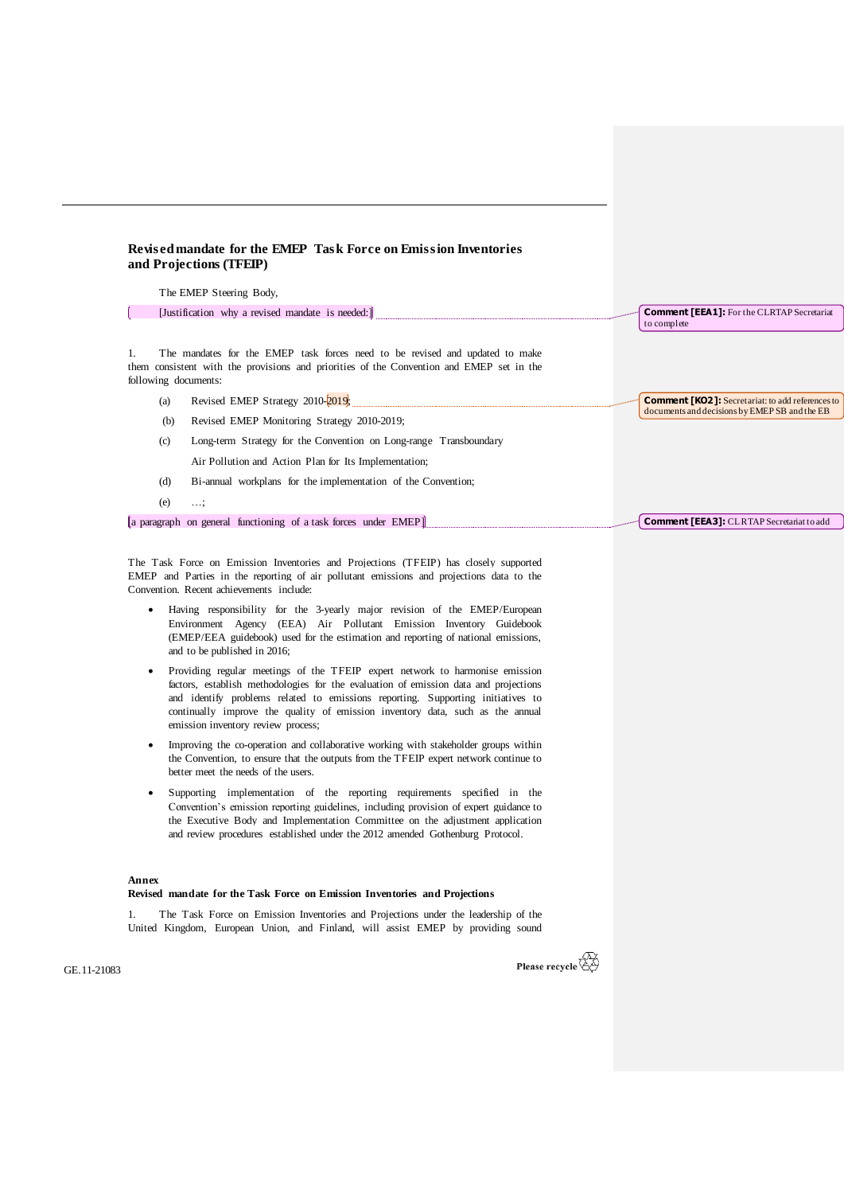## **Revised mandate for the EMEP Task Force on Emission Inventories and Projections (TFEIP)**

The EMEP Steering Body,

f in [Justification why a revised mandate is needed:]

1. The mandates for the EMEP task forces need to be revised and updated to make them consistent with the provisions and priorities of the Convention and EMEP set in the following documents:

- (a) Revised EMEP Strategy  $2010-2019$ ;
- (b) Revised EMEP Monitoring Strategy 2010-2019;
- (c) Long-term Strategy for the Convention on Long-range Transboundary Air Pollution and Action Plan for Its Implementation;
- (d) Bi-annual workplans for the implementation of the Convention;
- $(e)$   $\ldots$

[a paragraph on general functioning of a task forces under EMEP]

The Task Force on Emission Inventories and [Projections](http://tfeip-secretariat.org/) (TFEIP) has closely supported EMEP and Parties in the reporting of air pollutant emissions and projections data to the Convention. Recent achievements include:

- Having responsibility for the 3-yearly major revision of the EMEP/European Environment Agency (EEA) Air Pollutant Emission Inventory Guidebook (EMEP/EEA guidebook) used for the estimation and reporting of national emissions, and to be published in 2016;
- Providing regular meetings of the TFEIP expert network to harmonise emission factors, establish methodologies for the evaluation of emission data and projections and identify problems related to emissions reporting. Supporting initiatives to continually improve the quality of emission inventory data, such as the annual emission inventory review process;
- Improving the co-operation and collaborative working with stakeholder groups within the Convention, to ensure that the outputs from the TFEIP expert network continue to better meet the needs of the users.
- Supporting implementation of the reporting requirements specified in the Convention's emission reporting guidelines, including provision of expert guidance to the Executive Body and Implementation Committee on the adjustment application and review procedures established under the 2012 amended Gothenburg Protocol.

## **Annex**

## **Revised mandate for the Task Force on Emission Inventories and Projections**

The Task Force on Emission Inventories and Projections under the leadership of the United Kingdom, European Union, and Finland, will assist EMEP by providing sound

GE.11-21083



**Comment [KO2]:** Secretariat: to add references to documents and decisions by EMEP SB and the EB

**Comment [EEA1]:** For the CLRTAP Secretariat

to complete

**Comment [EEA3]:** CLRTAP Secretariat to add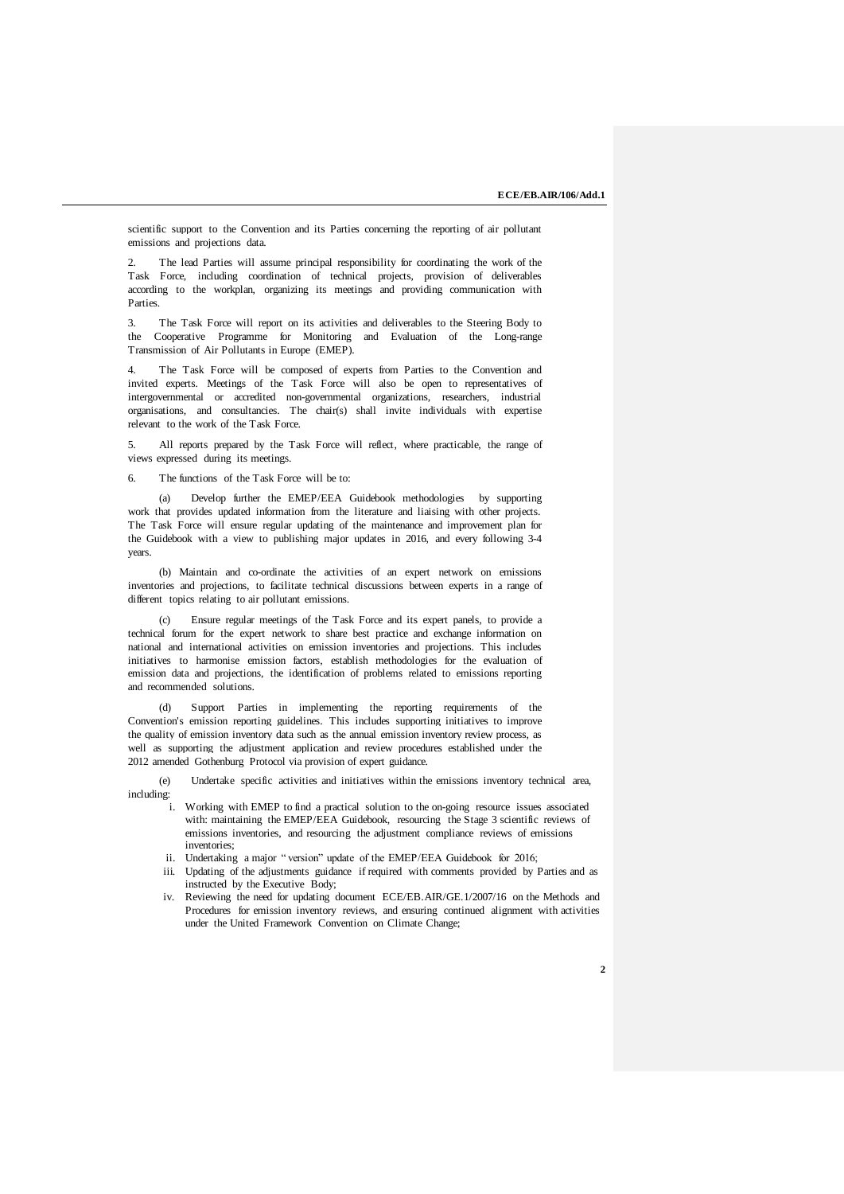scientific support to the Convention and its Parties concerning the reporting of air pollutant emissions and projections data.

The lead Parties will assume principal responsibility for coordinating the work of the Task Force, including coordination of technical projects, provision of deliverables according to the workplan, organizing its meetings and providing communication with Parties

3. The Task Force will report on its activities and deliverables to the Steering Body to the Cooperative Programme for Monitoring and Evaluation of the Long-range Transmission of Air Pollutants in Europe (EMEP).

The Task Force will be composed of experts from Parties to the Convention and invited experts. Meetings of the Task Force will also be open to representatives of intergovernmental or accredited non-governmental organizations, researchers, industrial organisations, and consultancies. The chair(s) shall invite individuals with expertise relevant to the work of the Task Force.

All reports prepared by the Task Force will reflect, where practicable, the range of views expressed during its meetings.

6. The functions of the Task Force will be to:

(a) Develop further the EMEP/EEA Guidebook methodologies by supporting work that provides updated information from the literature and liaising with other projects. The Task Force will ensure regular updating of the maintenance and improvement plan for the Guidebook with a view to publishing major updates in 2016, and every following 3-4 years.

(b) Maintain and co-ordinate the activities of an expert network on emissions inventories and projections, to facilitate technical discussions between experts in a range of different topics relating to air pollutant emissions.

(c) Ensure regular meetings of the Task Force and its expert panels, to provide a technical forum for the expert network to share best practice and exchange information on national and international activities on emission inventories and projections. This includes initiatives to harmonise emission factors, establish methodologies for the evaluation of emission data and projections, the identification of problems related to emissions reporting and recommended solutions.

(d) Support Parties in implementing the reporting requirements of the Convention's emission reporting guidelines. This includes supporting initiatives to improve the quality of emission inventory data such as the annual emission inventory review process, as well as supporting the adjustment application and review procedures established under the 2012 amended Gothenburg Protocol via provision of expert guidance.

(e) Undertake specific activities and initiatives within the emissions inventory technical area, including:

- i. Working with EMEP to find a practical solution to the on-going resource issues associated with: maintaining the EMEP/EEA Guidebook, resourcing the Stage 3 scientific reviews of emissions inventories, and resourcing the adjustment compliance reviews of emissions inventories;
- ii. Undertaking a major " version" update of the EMEP/EEA Guidebook for 2016;
- iii. Updating of the adjustments guidance if required with comments provided by Parties and as instructed by the Executive Body;
- iv. Reviewing the need for updating document ECE/EB.AIR/GE.1/2007/16 on the Methods and Procedures for emission inventory reviews, and ensuring continued alignment with activities under the United Framework Convention on Climate Change;